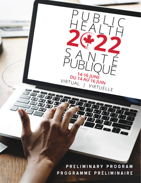**PRELIMINARY PROGRAM PROGRAMME PRÉLIMINAIRE**

PUBLI

 $\sqrt{\phantom{a}}$ 

VIRTUELLE

 $\begin{array}{c}\n\mathbf{D}\mathbf{U} \stackrel{14}{\phantom{}_{14}} \stackrel{16}{\phantom{}_{14}} \stackrel{ \text{U}N}{\phantom{}_{14}} \stackrel{ \text{I}M}{\phantom{}_{15}} \stackrel{ \text{I}M}{\phantom{}_{16}} \stackrel{ \text{I}M}{\phantom{}_{17}}\n\end{array}$ 

 $\subset$ 

VIRTUAL |

É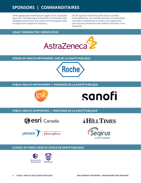# **SPONSORS | COMMANDITAIRES**

CPHA appreciates the financial support from corporate sponsors. The Steering and Scientific Committees have complete control over the content of this program with no input from supporters/industry.

L'ACSP apprécie l'aide financière de ses sociétés commanditaires. Les comités directeur et scientifique contrôlent entièrement le contenu du programme, sans aucune contribution des bailleurs de fonds ni de l'industrie.

### **LEGACY BENEFACTOR I BIENFAITEUR**



#### **FRIEND OF HEALTH PATHFINDER I AMI DE LA SANTÉ PUBLIQUE**



### **PUBLIC HEALTH PATHFINDERS I PIONNIERS DE LA SANTÉ PUBLIQUE**





**PUBLIC HEALTH SUPPORTERS | PARTISANS DE LA SANTÉ PUBLIQUE**









### **SCHOOL OF PUBLIC HEALTH I ÉCOLE DE SANTÉ PUBLIQUE**

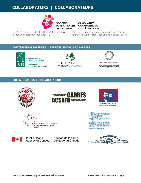# **COLLABORATORS | COLLABORATEURS**



**CANADIAN PUBLIC HEALTH ASSOCIATION** 

**ASSOCIATION CANADIENNE DE SANTÉ PUBLIQUE** 

CPHA is pleased to host Public Health 2022 through a unique and effective collaboration with:

[L'ACSP a le plaisir d'organiser Santé publique 2022 par](https://www.cpha.ca/)  l'entremise d'une collaboration unique et efficace avec :

## **[CONTRIBUTING PARTNERS | P](https://www.cihi.ca/en?utm_medium=conference&utm_source=cpa&utm_campaign=canadian_public_Health_oct_5-8_2021&utm_content=cihi-main-page)[ARTENAIRE COLLABORATEURS](http://www.cihr-irsc.gc.ca/e/193.html)**



Canadian Institute for Health Information Institut canadien d'information sur la santé





National Collaborating Centres<br>for Public Health Centres de collaboration nationale<br>en santé publique

## **COLLABORATORS | COLLABORATEURS**











**Public Health Agency of Canada** 

Agence de la santé publique du Canada

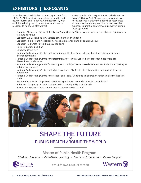# **EXHIBITORS | EXPOSANTS**

Enter the virtual exhibit hall on Tuesday 14 June from 13:25 – 14:10 to visit with our exhibitors and to find new resources and solutions. Connect directly with exhibitors during the conference, or send them a message to follow up afterwards!

Entrer dans la salle d'exposition virtuelle le mardi 6 juin de 13 h 25 à 14 h 10 pour vous entretenir avec nos exposants et trouver de nouvelles ressources et solutions. Communiquez directement avec les exposants durant la conférence ou envoyez-leur un message après!

- Canadian Alliance for Regional Risk Factor Surveillance / Alliance canadienne de surveillance régionale des facteurs de risque
- Canadian Evaluation Society / Société canadienne d'évaluation
- Canadian Public Health Association / Association canadienne de santé publique
- Canadian Red Cross / Croix-Rouge canadienne
- Harm Reduction Coalition
- Lakehead University
- National Collaborating Centre for Environmental Health / Centre de collaboration nationale en santé environnementale
- National Collaborating Centre for Determinants of Health / Centre de collaboration nationale des déterminants de la santé
- National Collaborating Centre for Healthy Public Policy / Centre de collaboration nationale sur les politiques publiques et la santé
- National Collaborating Centre for Indigenous Health / Le Centre de collaboration nationale de la santé autochtone
- National Collaborating Centre for Methods and Tools / Centre de collaboration nationale des méthodes et outils
- Pan American Health Organization/WHO / Organisation panaméricaine de la santé/OMS
- Public Health Agency of Canada / Agence de la santé publique du Canada
- Réseau Francophone International pour la promotion de la santé



## SHAPE THE FUTURE PUBLIC HEALTH AROUND THE WORLD OF

Master of Public Health Program

12-Month Program • Case-Based Learning • Practicum Experience • Career Support



schulich.uwo.ca/publichealth

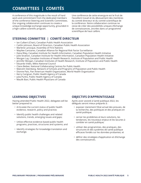# **COMMITTEES | COMITÉS**

A conference of this magnitude is the result of hard work and commitment from the dedicated members of the conference Steering and Scientific Committees. Our ongoing collaboration continues to create a unique knowledge exchange opportunity, grounded in a high-calibre scientific program.

Une conférence de cette envergure est le fruit de l'excellent travail et du dévouement des membres du comité directeur et du comité scientifique de la conférence. Notre collaboration continue ne cesse de créer des possibilités uniques d'échange de connaissances, ancrées dans un programme scientifique de haut calibre.

## **STEERING COMMITTEE | COMITÉ DIRECTEUR**

- Ian Culbert (Chair), Canadian Public Health Association
- Caitlin Johnson, Board of Directors, Canadian Public Health Association
- Marlene Larocque, Assembly of First Nations
- Mayilee Canizares, Canadian Alliance for Regional Risk Factor Surveillance
- Dana Riley, Canadian Institute for Health Information, Canadian Population Health Initiative
- Julie Stratton, Canadian Institute for Health Information, Canadian Population Health Initiative
- Morgan Lay, Canadian Institutes of Health Research, Institute of Population and Public Health
- Jennifer Morgan, Canadian Institutes of Health Research, Institute of Population and Public Health
- Eduardo Vides, Métis National Council
- Claire Betker, National Collaborating Centres for Public Health
- Malcolm Steinberg, Network of Schools and Programs of Population and Public Health
- Dionne Patz, Pan American Health Organization, World Health Organization
- Kerry Carignan, Public Health Agency of Canada
- Julia Purkis, Public Health Agency of Canada
- Maulik Baxi, Public Health Physicians of Canada

## **LEARNING OBJECTIVES**

Having attended Public Health 2022, delegates will be better prepared to:

- Articulate the current status of public health evidence, research, policy and practice;
- Identify public health challenges and related solutions, trends, emerging issues and gaps;
- Utilize effective evidence-based public health programs, practices, structures and systems; and
- Identify strategies for knowledge translation and exchange.

## **OBJECTIFS D'APPRENTISSAGE**

Après avoir assisté à Santé publique 2022, les délégués seront mieux préparés à :

- exposer clairement l'état actuel des preuves, de la recherche, des politiques et des pratiques en santé publique;
- cerner les problèmes et leurs solutions, les tendances, les nouveaux enjeux et les lacunes à combler en santé publique;
- utiliser des programmes, des pratiques, des structures et des systèmes de santé publique efficaces fondés sur les données probantes; et
- définir des stratégies d'application et d'échange des connaissances.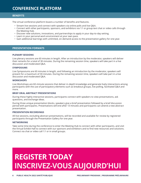## **CONFERENCE PLATFORM**

#### **BENEFITS**

The virtual conference platform boasts a number of benefits and features.

- Stream live sessions and connect with speakers via online polls and live Q&A.
- Connect with other participants, sponsors, and exhibitors via 1:1 or group text chat or video calls through the Meeting Hub.
- Discover new solutions, innovations, and partnerships to apply in your day-to-day setting.
- Learn in your personal work environment at your own pace.
- Gain additional learnings with unlimited, on-demand access to the presentation gallery for one year.

#### **PRESENTATION FORMATS**

#### **PLENARY SESSIONS**

Live plenary sessions are 60 minutes in length. After an introduction by the moderator, speakers will deliver their remarks for a total of 30 minutes. During the remaining session time, speakers will take part in a live discussion and moderated Q&A.

#### **SYMPOSIUMS**

Live Symposiums are 60 minutes in length, and following an introduction by the moderator, speakers will present for a maximum of 30 minutes. During the remaining session time, speakers will take part in a live discussion and moderated Q&A.

#### **WORKSHOPS**

Live Workshops are 60-minute sessions that deliver in-depth knowledge and generate lively interactions among participants with the use of participatory elements such as breakout groups, live polling, facilitated Q&A and more.

#### **BRIEF ORAL ABSTRACT PRESENTATIONS**

During these highly interactive sessions, participants connect with speakers to view presentations, ask questions, and exchange ideas.

During three unique presentation blocks, speakers give a brief presentation followed by a brief discussion period with participants. Presentations will end after 13 minutes and participants can attend a new abstract presentation.

#### **PRESENTATION RECORDINGS**

All live sessions, excluding abstract presentations, will be recorded and available for review by registered participants through the Presentation Gallery for one year.

#### **NETWORKING**

Take some time during the conference to enter the Meeting Hub to connect with other participants, and visit the Virtual Exhibit Hall to connect with our sponsors and exhibitors and to find new resources and solutions. Connect via chat or video call 1:1 or in small groups.

# **REGISTER TODAY [INSCRIVEZ-VOUS AUJOURD'HUI](https://cpha.ca/publichealth2022-registration)**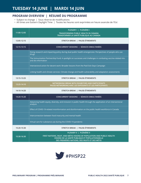## **PROGRAM OVERVIEW | RÉSUMÉ DU PROGRAMME**

- Subject to change | Sous réserve de modifications
- All times are Eastern Daylight Time | Toutes les heures sont exprimées en heure avancée de l'Est

| 11:00-12:05 | PLENARY     PLÉNIÈRE I<br>TRANSFORMING PUBLIC HEALTH IN CANADA<br>TRANSFORMER LA SANTÉ PUBLIQUE AU CANADA                                                                                                |
|-------------|----------------------------------------------------------------------------------------------------------------------------------------------------------------------------------------------------------|
| 12:05-12:15 | STRETCH BREAK   PAUSE-ÉTIREMENTS                                                                                                                                                                         |
| 12:15-13:15 | CONCURRENT SESSIONS   SÉANCES SIMULTANÉES                                                                                                                                                                |
|             | Doing research and impacting policy during dual public health emergencies: Perspectives of people who use<br>drugs                                                                                       |
|             | The Immunization Partnership Fund: A spotlight on successes and challenges in combating vaccine-related mis-<br>and dis-information                                                                      |
|             | Intersectoral action for decent work: Broader lessons from the Paid Sick Days Campaign                                                                                                                   |
|             | Linking health and climate services: Climate change and health vulnerability and adaptation assessments                                                                                                  |
| 13:15-13:25 | STRETCH BREAK   PAUSE-ÉTIREMENTS                                                                                                                                                                         |
| 13:25-14:10 | NETWORKING BREAK WITH EXHIBITORS AND PARTICIPANTS<br>PAUSE-NETWORKING AVEC LES EXPOSANTS ET LES PARTICIPANTS                                                                                             |
| 14:10-14:20 | STRETCH BREAK   PAUSE-ÉTIREMENTS                                                                                                                                                                         |
| 14:20-15:20 | CONCURRENT SESSIONS   SÉANCES SIMULTANÉES                                                                                                                                                                |
|             | Advancing health equity, diversity, and inclusion in public health through the application of an intersectional<br>analysis                                                                              |
|             | Effect of COVID-19-related misinformation and disinformation on the public health workforce in Canada                                                                                                    |
|             | Interconnection between food insecurity and mental health                                                                                                                                                |
|             | Virtual care for substance use during the COVID-19 pandemic                                                                                                                                              |
| 15:20-15:30 | STRETCH BREAK   PAUSE-ÉTIREMENTS                                                                                                                                                                         |
| 15:30-16:30 | PLENARY II   PLÉNIÈRE II<br>FIRST NATIONS, INUIT, AND MÉTIS VISIONS OF POPULATION AND PUBLIC HEALTH<br>VISIONS DE LA SANTÉ PUBLIQUE ET POPULATIONNELLE<br>DES PREMIÈRES NATIONS, DES INUITS ET DES MÉTIS |

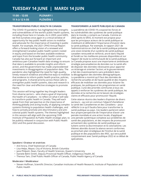**11:00 – 12:05 PLENARY I 11 h à 12 h 05 PLÉNIÈRE I**

#### **TRANSFORMING PUBLIC HEALTH IN CANADA**

The COVID-19 pandemic has highlighted the strengths and vulnerabilities of the world's public health systems, les vulnérabilités des systèmes de santé publique including those here in Canada. As in 2003, post-SARS, we find ourselves once again in a critical window of opportunity for key public health actors to mobilize and advocate for the importance of investing in public health. For example, the 2021 CPHO Annual Report offers a forward-looking vision of a renewed and strengthened Canadian public health system rooted in equity and based on the best available evidence and input from the broader public health community. Canada has also put forward an important and ambitious pan-Canadian health data strategy to ensure Le Canada propose aussi une importante et ambitieuse that data is available to provide insights and inform action, and the government has made unprecedented investments in disaggregation of population data. The pandemic also highlighted the need for high-quality, timely research evidence and effective ways to mobilize la désagrégation des données démographiques. that evidence to inform public health practice, policies, and programs. A shared priority across these calls to strengthen public health systems, data and research is the need for clear and effective strategies to promote equity.

This session will bring together key thought leaders from diverse sectors – who share a goal of improving the health of Canadians – to reflect on what it will take to transform public health in Canada. They will each speak from their perspective on the importance of thinking globally and acting locally, of applying complex systems thinking to population health challenges, and how to actively promote anti-discriminatory and anticolonial public health systems. The themes highlighted in this session will align with the upcoming CIHR Institute of Population & Public Health strategic plan, to une pensée systémique complexe aux problèmes de be publicly released in conjunction with Public Health 2022 and this panel discussion.

#### **TRANSFORMER LA SANTÉ PUBLIQUE AU CANADA**

La pandémie de COVID-19 a exposé les forces et dans le monde, y compris au Canada. Comme en 2003 après le SRAS, le moment est propice pour que les principaux acteurs de la santé publique se mobilisent et défendent l'importance d'investir dans la santé publique. Par exemple, le rapport 2021 de l'administratrice en chef de la santé publique présente une vision éclairée d'un système de santé publique canadien renouvelé et renforcé, ancré dans l'équité et fondé sur les meilleures preuves disponibles et sur l'apport de toute la communauté de la santé publique. stratégie pancanadienne de données sur la santé afin de disposer des données nécessaires pour apporter un éclairage et orienter l'action; et le gouvernement a fait des investissements sans précédent dans La pandémie a montré qu'il faut des données de recherche actuelles et de haute qualité et des moyens efficaces de mobiliser ces données pour éclairer les pratiques, les politiques et les programmes en santé publique. L'une des priorités communes à tous ces appels à renforcer les systèmes de santé publique, les données et la recherche est le besoin de stratégies claires et efficaces pour promouvoir l'équité.

Cette séance réunira des leaders d'opinion de divers secteurs – qui ont en commun l'objectif d'améliorer la santé des Canadiennes et des Canadiens – pour réfléchir à ce qu'il faudra faire pour transformer la santé publique au pays. Ces leaders parleront selon leur propre perspective de l'importance d'avoir une pensée mondiale et une action locale, d'appliquer santé des populations, et des moyens de promouvoir activement des systèmes de santé publique qui luttent contre la discrimination et le colonialisme. Les thèmes abordés durant la séance seront conformes au prochain plan stratégique de l'Institut de la santé publique et des populations des IRSC, qui sera publié conjointement avec Santé publique 2022 et ce débat de spécialistes.

#### **Speakers I Orateur et oratrices**

- Anil Arora, Chief Statistician of Canada
- Lisa Helps, Mayor, City of Victoria, British Columbia
- Jane Philpott, Dean, Faculty of Health Sciences, Queen's University
- Daniele Behn Smith, Deputy Provincial Health Officer, Indigenous Health, BC
- Theresa Tam, Chief Public Health Officer of Canada, Public Health Agency of Canada

#### **Moderator I Modérateur**

• Steven Hoffman, Scientific Director, Canadian Institutes of Health Research, Institute of Population and Public Health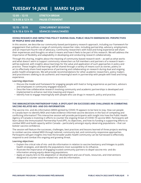| $12:05 - 12:15$<br>12 h 05 à 12 h 15 | <b>STRETCH BREAK</b><br><b>PAUSE-ÉTIREMENT</b> |
|--------------------------------------|------------------------------------------------|
|                                      |                                                |
| $12:15 - 13:15$                      | <b>CONCURRENT SESSIONS</b>                     |
| 12 h 15 à 13 h 15                    | <b>SÉANCES SIMULTANÉES</b>                     |

#### **DOING RESEARCH AND IMPACTING POLICY DURING DUAL PUBLIC HEALTH EMERGENCIES: PERSPECTIVES OF PEOPLE WHO USE DRUGS**

In this session, we describe our community-based participatory research approach, including our framework for engagement that outlines a range of community researcher roles, including partnership, advisory, employment, and an important fourth role of advocacy. Community researchers with lived and living experience will share their experiences and thoughts on what it means and how it feels to be part of this research. We will address the importance of flexibility and adaptability in developing and conducting research collaboratively.

Through this sharing, insights about the meaning of community-based research work – as well as what works and what doesn't work to support community researchers as full members and partners of a research team – will be explored, with insights about learnings for the value and application of such approaches in policy and practice. These insights and learnings will be shared through a variety of means such as stories, poetry or art to effectively share lived experience of partnering and collaborating on research during dual and ongoing public health emergencies. We will provide recommendations for other academic researchers, policy makers and practitioners seeking to do authentic and meaningful work in partnership with people with lived and living experience.

#### **Learning objectives:**

- Discuss the model and framework for engaging people with lived or living experience as partners, advisors and employees in community engaged research.
- Describe how collaborative research involving community and academic partnerships is developed and implemented to enhance real time meaning and impact.
- Identify how to engage meaningfully with people who use drugs in research, policy and practice.

#### **THE IMMUNIZATION PARTNERSHIP FUND: A SPOTLIGHT ON SUCCESSES AND CHALLENGES IN COMBATING VACCINE-RELATED MIS- AND DIS-INFORMATION**

The vaccine mis- and dis-information (MIDI) ignited by COVID-19 appears to be here to stay. How can people in Canada learn to identify MIDI and make evidence-informed vaccine decisions in the face of competing and conflicting information? This interactive session will provide participants with insight into how the Public Health Agency of Canada is investing in efforts to counter the ongoing threat of COVID-19 vaccine MIDI. Participants will learn about the Immunization Partnership Fund (IPF), its objectives, and how its funding is supporting efforts to combat MIDI and build capacity within Canada – particularly amongst equity-deserving populations – that can bolster vaccine confidence.

The session will feature the successes, challenges, best practices and lessons learned of three projects working to combat vaccine-related MIDI through tailored, community-led, and community-responsive approaches. Participants will gain insights into how the broader public health community can be harnessed to effectively respond to and combat this ongoing and growing threat.

- Explain the critical role of mis- and dis-information in relation to vaccine hesitancy and linkages to public health strategies, and identify the populations most susceptible to its influence.
- Illustrate the importance of engaging trusted community partners to dispel vaccine mis- and disinformation among equity-deserving populations.
- Apply an equity lens to the adaptation or development and use of tools, resources, and interventions designed to counter vaccine-related mis- and dis-information.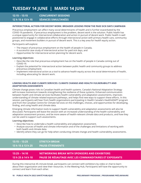**12:15 – 13:15 CONCURRENT SESSIONS 12 h 15 à 13 h 15 SÉANCES SIMULTANÉES**

#### **INTERSECTORAL ACTION FOR DECENT WORK: BROADER LESSONS FROM THE PAID SICK DAYS CAMPAIGN**

Precarious employment can affect many social determinants of health and is further exacerbated by the COVID-19 pandemic. If precarious employment is the problem, decent work is the solution. Public health has a unique opportunity for intersectoral collaboration and action in pursuit of decent work. Public health is well positioned to engage in collaborative efforts through intersectoral action with primary health care, community groups, and movement builders in pursuit of decent work. This is a key area for health equity action.

Participants will explore:

- The impact of precarious employment on the health of people in Canada,
- A successful case study of intersectoral action for paid sick days, and
- Opportunities for intersectoral action planning for decent work.

#### **Learning objectives:**

- Describe the role that precarious employment has on the health of people in Canada coming out of COVID-19.
- Explain the potential for intersectoral action between public health and community groups to address precarious employment.
- Implement intersectoral action as a tool to advance health equity across the social determinants of health, including advocating for decent work.

#### **LINKING HEALTH AND CLIMATE SERVICES: CLIMATE CHANGE AND HEALTH VULNERABILITY AND ADAPTATION ASSESSMENTS**

Climate change poses risks to Canadian health and health systems. Canada's National Adaptation Strategy will increase momentum towards strengthening the resilience of these systems. Enhanced communication between health and climate services facilitates health vulnerability and adaptation assessments, improves understanding of climate-related exposure pathways, and helps find new ways to support these efforts. In this session, participants will hear from health organizations participating in Health Canada's HealthADAPT program and from the Canadian Centre for Climate Services on the challenges, choices, and opportunities for developing, finding, and using health and climate data.

Emerging climate information tools to support health vulnerability and adaptation assessments will also be discussed. Participants will leave the session with an increased understanding of the health vulnerability and adaptation assessment process, and be more aware of health-relevant climate data and products, and how they can be used to support such assessments.

#### **Learning objectives:**

- Describe how to undertake a health vulnerability and adaptation assessment.
- Analyze sources of health and climate information and of the challenges and limitations of working with both health and climate data.
- Identify where they can go for help when conducting climate change and health vulnerability assessments.

## **13:15 – 13:25 STRETCH BREAK 13 h 15 à 13 h 25 PAUSE-ÉTIREMENTS**

## **13:25 – 14:10 NETWORKING BREAK WITH SPONSORS AND EXHIBITORS 13 h 25 à 14 h 10 PAUSE DE RÉSAUTAGE AVEC LES COMMANDITAIRES ET EXPOSANTS**

During this interactive 45-minute break, participants can connect with exhibitors by video or chat to learn about their organization and view their resources. In the Meeting Hub, Participants will have the opportunity to connect and learn from each other.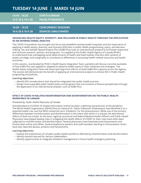| 14:10 – 14:20          | <b>STRETCH BREAK</b>       |
|------------------------|----------------------------|
| 14 h 10 à 14 h 20      | <b>PAUSE-ÉTIREMENTS</b>    |
| <u> 14:20 – 15:20 </u> | <b>CONCURRENT SESSIONS</b> |
| 14 h 20 à 15 h 20      | <b>SÉANCES SIMULTANÉES</b> |

#### **ADVANCING HEALTH EQUITY, DIVERSITY, AND INCLUSION IN PUBLIC HEALTH THROUGH THE APPLICATION OF AN INTERSECTIONAL ANALYSIS**

The COVID-19 pandemic has brought into focus and amplified existing health inequities and the importance of applying a health equity, diversity, and Inclusion (EDI) lens in public health programming, policy, and decisionmaking. Sex and Gender-Based Analysis Plus (SGBA Plus) uses an intersectional analysis to formulate responsive and inclusive research, policies, and programs. It is applied at the Public Health Agency of Canada (PHAC) to understand how overlapping social determinants of health and lived realities intersect with systems of power, privilege, and marginality to contribute to differences in accessing health-related resources and health outcomes.

In this session, coordinated by PHAC's Health Equity Integration Team, panelists will discuss concrete examples of how SGBA Plus was applied or adapted to advance health equity in their initiatives and strategies. The Health Equity Integration Team will share learnings from efforts to build SGBA Plus capacity across the Agency. The session will demonstrate the benefit of applying an intersectional analysis to achieve EDI in Public Health programing and policies.

#### **Learning objectives:**

- Identify EDI considerations that should be integrated into public health practice.
- Design more equitable public health policy and programs that are inclusive of diverse perspectives through the application of an intersectional analysis, such as SGBA Plus.

#### **EFFECT OF COVID-19-RELATED MISINFORMATION AND DISINFORMATION ON THE PUBLIC HEALTH WORKFORCE IN CANADA**

#### *Presented by: Public Health Physicians of Canada*

Overabundance of COVID-19-related information online has been a defining characteristic of the pandemic. The World Health Organization (WHO) Director General Dr. Tedros Adhanom Ghebreyesus had identified it as a potential health risk, and the WHO coined the term 'infodemic' for this phenomenon. While one of the primary differences between misinformation and disinformation is the intent with which it is shared, the detrimental effects of both are similar. As the local, regional, provincial and federal Medical Health Officers and Public Health Physicians have played leading roles in mitigating the health effects of COVID-19, their roles have often been subjected to misinformation and disinformation. Several physicians have faced personal harassments and threats both online and offline. Several healthcare workers and staff members working in immunization clinics have also reported abuses, protests and harassments.

- Explore the experiences of Canada's public health workforce affected by misinformation and disinformation.
- Identify lessons learned for various stakeholders.
- Identify opportunities to integrate infodemic management in future health emergency planning.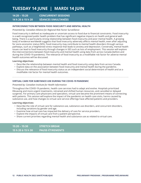**14:20 – 15:20 CONCURRENT SESSIONS 14 h 20 à 15 h 20 SÉANCES SIMULTANÉES**

#### **INTERCONNECTION BETWEEN FOOD INSECURITY AND MENTAL HEALTH**

#### *Presented by: Canadian Alliance for Regional Risk Factor Surveillance*

Food insecurity is defined as inadequate or uncertain access to food due to financial constraints. Food insecurity is a well-recognized public health problem that has significant negative impacts on health and general wellbeing. There is a particularly strong relationship between food insecurity and poor mental health. A growing body of evidence worldwide suggests that food insecurity adversely affects mental health, even after adjusting for socio-economic status (SES). Food insecurity may contribute to mental health disorders through various pathways, such as a heightened stress response that leads to anxiety and depression. Conversely, mental health issues can lead to food insecurity through changes in SES such as loss of employment. This session will explore the interconnections between food insecurity and mental health using data from across Canada (before and during the COVID-19 pandemic). The relevance of food insecurity as a modifiable risk factor for adverse mental health outcomes will be discussed.

#### **Learning objectives:**

- Describe the relationship between mental health and food insecurity using data from across Canada.
- Explore data on the association between food insecurity and mental health during the pandemic.
- Discuss the relevance of food insecurity status as an independent social determinant of health and as a modifiable risk factor for mental health outcomes.

#### **VIRTUAL CARE FOR SUBSTANCE USE DURING THE COVID-19 PANDEMIC**

#### *Presented by: Canadian Institute for Health Information*

Throughout the COVID-19 pandemic, health care services had to adapt and evolve. Hospitals prioritized lifesaving and more urgent treatments, retrained and shifted human resources, and cancelled or delayed surgeries. For primary care physicians and specialists, virtual care became the prominent means of connecting with patients. This session will explore the impact of the pandemic on health care visits, harms caused by substance use, and how changes to virtual care service offerings have affected patients and providers.

- Describe the role of virtual care for substance use, substance use disorders, and concurrent disorders, including variations by gender and age.
- Examine how virtual care has impacted the delivery of care for service providers.
- Explore the impacts of virtual care from a patient perspective.
- Share current priorities regarding mental health and substance use as related to virtual care.

| 15:20 - 15:30     | <b>STRETCH BREAK</b>    |
|-------------------|-------------------------|
| 15 h 20 à 15 h 30 | <b>PAUSE-ÉTIREMENTS</b> |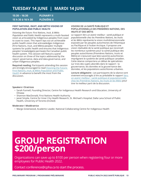**15:30 – 16:30 PLENARY II 15 h 30 à 16 h 30 PLÉNIÈRE II**

#### **FIRST NATIONS, INUIT, AND MÉTIS VISIONS OF POPULATION AND PUBLIC HEALTH**

*Visioning the Future: First Nations, Inuit, & Métis Population and Public Health* represents a multi-faceted vision as articulated by Indigenous peoples from coast to coast to coast. This report lays out an achievable public health vision that acknowledges Indigenous (First Nations, Inuit, and Métis) peoples' multiple systems for public health and ensures that Indigenous peoples' knowledge(s) permeate the Canadian public health system. This session will feature a panel discussion on three of the topics addressed by the report: governance, data and data governance, and urban Indigenous peoples.

**Required reading:** Participants attending this session are strongly encouraged to read Visioning the Future: [First Nations, Inuit, & Métis Population and Public](https://nccph.ca/projects/reports-to-accompany-the-chief-public-health-officer-of-canadas-report-2021/visioning-the-future-first-nations-inuit-metis-population-and-public-health)  [Health](https://nccph.ca/projects/reports-to-accompany-the-chief-public-health-officer-of-canadas-report-2021/visioning-the-future-first-nations-inuit-metis-population-and-public-health) in advance to benefit the most from the discussion.

#### **VISIONS DE LA SANTÉ PUBLIQUE ET POPULATIONNELLE DES PREMIÈRES NATIONS, DES INUITS ET DES MÉTIS**

Le rapport *Vers un avenir meilleur : santé publique et populationnelle chez les Premières Nations, les Inuits et les Métis* représente la vision multidimensionnelle exposée par les peuples autochtones de l'Atlantique au Pacifique et à l'océan Arctique. Il propose une vision réalisable de la santé publique qui reconnaît les nombreux systèmes pour la santé publique des peuples autochtones (Premières Nations, Inuits et Métis) en s'assurant que le(s) savoir(s) autochtones imprègnent le système de santé publique canadien. Cette séance comportera un débat de spécialistes sur trois des sujets abordés dans le rapport : la gouvernance, les données et la gouvernance des données, et les populations autochtones urbaines.

**Lecture obligatoire :** Les participants de la séance sont vivement encouragés à lire au préalable le rapport [Vers](https://ccnsp.ca/projects/reports-to-accompany-the-chief-public-health-officer-of-canadas-report-2021/visioning-the-future-first-nations-inuit-metis-population-and-public-health/)  [un avenir meilleur : santé publique et populationnelle](https://ccnsp.ca/projects/reports-to-accompany-the-chief-public-health-officer-of-canadas-report-2021/visioning-the-future-first-nations-inuit-metis-population-and-public-health/)  [chez les Premières Nations, les Inuits et les Métis](https://ccnsp.ca/projects/reports-to-accompany-the-chief-public-health-officer-of-canadas-report-2021/visioning-the-future-first-nations-inuit-metis-population-and-public-health/) pour tirer le meilleur parti de la discussion.

#### **Speakers I Oratrices**

- Sarah Funnell, Founding Director, Centre for Indigenous Health Research and Education, University of Ottawa
- Shannon MacDonald, First Nations Health Authority
- Janet Smylie, Centre for Inner City Health Research, St. Michael's Hospital; Dalla Lana School of Public Health, University of Toronto (Invited)

#### **Moderator I Modératrice**

• Margo Greenwood, Academic Leader, National Collaborating Centre for Indigenous Health

# **[GROUP REGISTRATION](mailto:conference%40cpha.ca?subject=Public%20Health%202022%20--%20Group%20Registration) \$200/person**

Organizations can save up to \$100 per person when registering four or more employees for Public Health 2022.

Contact [conference@cpha.ca](mailto:conference@cpha.ca) to start the process.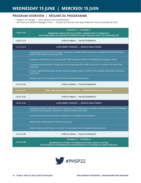## **PROGRAM OVERVIEW | RÉSUMÉ DU PROGRAMME**

- Subject to change | Sous réserve de modifications
- All times are Eastern Daylight Time | Toutes les heures sont exprimées en heure avancée de l'Est

| 11:00-12:05 | PLENARY III   PLÉNIÈRE III<br>IMPROVING PUBLIC HEALTH SYSTEMS' CONNECTION TO COMMUNITY<br>POUR AMÉLIORER LES LIENS DES SYSTÈMES DE SANTÉ PUBLIQUE AVEC LES COMMUNAUTÉS                |
|-------------|---------------------------------------------------------------------------------------------------------------------------------------------------------------------------------------|
| 12:05-12:15 | STRETCH BREAK   PAUSE-ÉTIREMENTS                                                                                                                                                      |
| 12:15-13:15 | CONCURRENT SESSIONS   SÉANCES SIMULTANÉES                                                                                                                                             |
|             | Anticipating the post-COVID-19 season of inquiries: a public health perspective on what the future of Canada's<br>public health systems should look like                              |
|             | Caregiver-centered care: Increasing public health response abilities in meeting family caregiver needs                                                                                |
|             | Competency-led education: Designing and re-designing public health curricula for a resilient and world class<br>workforce                                                             |
|             | E mamu aapitishiishtikiniwich attawin: Working together against COVID-19. The Quebec James Bay Cree Nation<br>experience                                                              |
|             | Responding to the next public health threat: Antimicrobial resistance                                                                                                                 |
| 13:15-13:25 | STRETCH BREAK   PAUSE-ÉTIREMENTS                                                                                                                                                      |
| 13:25-14:10 | BRIEF ORAL ABSTRACT PRESENTATIONS   BRÈVES PRÉSENTATIONS ORALES                                                                                                                       |
| 14:10-14:20 | STRETCH BREAK   PAUSE-ÉTIREMENTS                                                                                                                                                      |
| 14:20-15:20 | CONCURRENT SESSIONS   SÉANCES SIMULTANÉES                                                                                                                                             |
|             | Expanding a public health approach to substance use: Integrating sex, gender and equity factors into knowledge<br>translation for substance use practice, health promotion and policy |
|             | Lessons learned from the COVID-19 pandemic in the Region of the Americas                                                                                                              |
|             | Métis Nation Saskatchewan COVID recovery plan                                                                                                                                         |
|             | Public health transformation in Canada: The inevitable need for a global health approach                                                                                              |
| 15:20-15:30 | STRETCH BREAK   PAUSE-ÉTIREMENTS                                                                                                                                                      |
| 15:30-16:30 | PLENARY IV   PLÉNIÈRE IV<br><b>GOVERNANCE OPTIONS TO STRENGTHEN PUBLIC HEALTH SYSTEMS</b><br>DES OPTIONS DE GOUVERNANCE POUR RENFORCER LES SYSTÈMES DE SANTÉ PUBLIQUE                 |

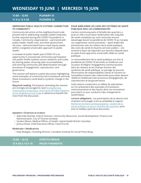## **11:00 – 12:05 PLENARY III 11 h à 12 h 05 PLÉNIÈRE III**

#### **IMPROVING PUBLIC HEALTH SYSTEMS' CONNECTION TO COMMUNITY**

Community-led action at the neighbourhood scale proved vital to addressing complex health inequities further exposed during the COVID-19 pandemic in Canada. Community organizations – partnered with public health, health care, and other government services – demonstrated how to meet equity needs within a targeted universalist approach to public health.

A renewal of public health post-COVID-19 is an opportunity to incorporate community participation into public health systems across networks and scales by sharing power, ensuring clear accountabilities, and centring community self-determination through processes of engagement, coproduction, and governance.

This session will feature a panel discussion highlighting some examples of community-led innovations and how these innovations could lead to systemic change in the future.

**Required reading:** Participants attending this session are strongly encouraged to read [Strengthening](https://nccph.ca/projects/reports-to-accompany-the-chief-public-health-officer-of-canadas-report-2021/strengthening-community-connections-the-future-of-public-health)  [Community Connections: The Future of Public Health is](https://nccph.ca/projects/reports-to-accompany-the-chief-public-health-officer-of-canadas-report-2021/strengthening-community-connections-the-future-of-public-health)  [at the Neighbourhood Scale](https://nccph.ca/projects/reports-to-accompany-the-chief-public-health-officer-of-canadas-report-2021/strengthening-community-connections-the-future-of-public-health) in advance to benefit the most from the discussion.

#### **POUR AMÉLIORER LES LIENS DES SYSTÈMES DE SANTÉ PUBLIQUE AVEC LES COMMUNAUTÉS**

L'action communautaire à l'échelle des quartiers a joué un rôle crucial dans l'atténuation des iniquités de santé complexes qui sont ressorties encore davantage durant la pandémie de COVID-19 au Canada. Les organismes communautaires – ayant établi des partenariats avec les milieux de la santé publique, des soins de santé et d'autres services publics – ont montré la façon de répondre aux besoins d'équité dans le cadre d'une approche universelle ciblée en santé publique.

Le renouvellement de la santé publique une fois la pandémie de COVID-19 terminée se révélerait une occasion d'intégrer l'engagement communautaire dans les réseaux et les champs d'action des systèmes de santé publique. Le partage du pouvoir, l'énonciation de responsabilités claires et l'accent sur l'autodétermination des collectivités pourraient devenir réalité en établissant des processus d'engagement, de coproduction et de gouvernance.

Cette séance comportera un débat de spécialistes où l'on présentera des exemples d'innovations communautaires et des façons dont ces innovations pourraient un jour conduire à des changements systémiques.

**Lecture obligatoire :** Les participants de la séance sont vivement encouragés à lire au préalable le rapport [Renforcer les liens communautaires : l'avenir de la](https://ccnsp.ca/projects/reports-to-accompany-the-chief-public-health-officer-of-canadas-report-2021/strengthening-community-connections-the-future-of-public-health/)  [santé publique se joue à l'échelle des quartiers](https://ccnsp.ca/projects/reports-to-accompany-the-chief-public-health-officer-of-canadas-report-2021/strengthening-community-connections-the-future-of-public-health/) pour tirer le meilleur parti de la discussion.

#### **Speakers I Oratrices et orateur**

- Aderonke Akande, Interim Director, Community Resources, Social Development, Finance and Administration, City of Toronto (Invited)
- Sandra Allison, Medical Officer of Health, Island Health British Columbia
- Joshua Smee, Chief Executive Officer, Food First NL

#### **Moderator I Modératrice**

• Kate Mulligan, Founding Director, Canadian Institute for Social Prescribing

**12:05 – 12:15 STRETCH BREAK 12 h 05 à 12 h 15 PAUSE-TIREMENTS**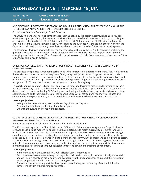## **12:15 – 13:15 CONCURRENT SESSIONS 12 h 15 à 13 h 15 SÉANCES SIMULTANÉES**

#### **ANTICIPATING THE POST-COVID-19 SEASON OF INQUIRIES: A PUBLIC HEALTH PERSPECTIVE ON WHAT THE FUTURE OF CANADA'S PUBLIC HEALTH SYSTEMS SHOULD LOOK LIKE**

*Presented by: Canadian Institutes for Health Research*

The COVID-19 pandemic has highlighted the cracks in Canada's public health systems. It has also provided us with a unique opportunity for systems transformation that benefits all Canadians. Building on challenges and priorities identified in the Chief Public Health Officer's 2021 Report and the CIHR Institute of Population and Public Health's Moving Forward Report, panelists and the audience will engage in discussion on how the Canadian public health community can advance a shared vision for Canada's future public health system.

The session will focus on how to address the challenges highlighted by the COVID-19 pandemic, including the questions: What key partnerships will drive solutions? How can we make the case for public health? What emerging area is most pressing? This forward-looking discussion will help foster a common vision for the future of Canada's public health systems.

**CAREGIVER-CENTERED CARE: INCREASING PUBLIC HEALTH RESPONSE ABILITIES IN MEETING FAMILY CAREGIVER NEEDS**

The practices and policies surrounding caring need to be considered to address health inequities. While forming the backbone of Canada's healthcare system, family caregivers (FCGs) remain largely undervalued, undersupported, and marginalized by current healthcare policies and practices. Public health professionals are well positioned to address this gap; however, the ability to respond to this gap is limited through a collective lack of recognition of FCGs and the diverse roles, impacts, and needs of caregiving.

This workshop will combine FCG stories, interactive learning, and facilitated discussion to introduce learners to the diverse roles, impacts, and experiences of FCGs. Learners will have opportunities to discuss the role of determinants of health in shaping FCGs' caring and well-being, critically reflect upon societal views and biases about FCGs, and build their response abilities to bring Caregiver-Centered Care into their workplaces and communities to respect, support, and meaningfully integrate FCGs into healthcare policy and practice.

#### **Learning objectives:**

- Recognize the value, impacts, roles, and diversity of family caregivers.
- Promote the health and well-being of family caregivers.
- Enhance the culture and context of healthcare.

#### **COMPETENCY-LED EDUCATION: DESIGNING AND RE-DESIGNING PUBLIC HEALTH CURRICULA FOR A RESILIENT AND WORLD-CLASS WORKFORCE**

#### *Presented by: Network of Schools and Programs of Population Public Health*

The 2021 annual report of the Chief Public Health Officer (CPHO) identifies priority actions for public health renewal. These include modernizing public health competencies to match current requirements for public health practice. Key areas identified for strengthening of public health core competencies include working in complex government systems, collaboration for intersectoral action, healthy public policymaking, social and racial equity, ecological determinants linked to climate change, community engagement, and Indigenous health. This symposium will highlight selected public health training initiatives that are addressing some of the core public health competency areas in need of strengthening, and approaches that can support the development, monitoring, and refreshing of core public health competencies within the training environment.

- Identify the gaps in the current PHAC Public Health Core Competencies.
- Describe the core competencies required to guide public health training in the areas of Indigenous health and well-being, social and racial equity, and ecosocial health, and approaches to support the inclusion of these competencies within public health training curricula.
- Consider approaches to support the development, monitoring, and refreshing of core public health competencies within the training environment.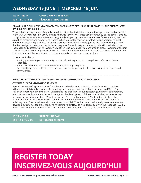**12:15 – 13:15 CONCURRENT SESSIONS 12 h 15 à 13 h 15 SÉANCES SIMULTANÉES**

#### **E MAMU AAPITISHIISHTIKINIWICH ATTAWIN: WORKING TOGETHER AGAINST COVID-19. THE QUEBEC JAMES BAY CREE NATION EXPERIENCE**

We will share an experience of a public health initiative that facilitated community engagement and ownership of the COVID-19 response in Eeyou Istchee (the Cree Territory of James Bay): community-based contact tracing. This program includes a 9-hour training program developed by community members for community members, as well as resources and supports for communities to develop their own contact tracing program to meet that community's unique needs. This project acknowledges local knowledge and facilitates the integration of that knowledge into a tailored public health response for each unique community. We will speak about the challenges and successes of this work. We will then take a step back to more broadly discuss working with First Nations partners to develop public health interventions led by communities in order to have interventions that last over time and that can be integrated in community emergency response plans.

#### **Learning objectives:**

- Identify partners in your community to involve in setting up a community-based infectious disease response.
- Identify key elements for the implementation of lasting programs.
- Describe the principle of self-governance and how to support public health activities in self-governed communities.

#### **RESPONDING TO THE NEXT PUBLIC HEALTH THREAT: ANTIMICROBIAL RESISTANCE**

#### *Presented by: Public Health Agency of Canada*

A panel made up of representatives from the human health, animal health, and environmental sectors will test the established approach of grounding the response to antimicrobial resistance (AMR) in a One Health perspective in order to better understand the challenges in public health governance, collaboration, preparedness, and competencies, and strengthen the development of the response. They will answer the following provocative questions: Why do we need a One Health approach? What evidence is there that animal antibiotic use is relevant to human health, and that the environment influences AMR? Is advancing a fully integrated One Health actually practical and possible? What does One Health really mean when we are developing strategies for preventing and mitigating AMR? How do we address equity in the response to AMR? How do we strengthen coordination across the human health, animal health, and environmental sectors?

**13:15 – 13:25 STRETCH BREAK 13 h 15 à 13 h 25 PAUSE-ÉTIREMENTS**

# **REGISTER TODAY [INSCRIVEZ-VOUS AUJOURD'HUI](https://cpha.ca/publichealth2022-registration)**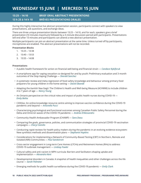## **13:25 – 14:10 BRIEF ORAL ABSTRACT PRESENTATIONS 13 h 25 à 14 h 10 BRÈVES PRÉSENTATIONS ORALES**

During this highly interactive live abstract presentation session, participants connect with speakers to view presentations, ask questions, and exchange ideas.

There are three unique presentation blocks between 13:25 – 14:10, and for each, speakers give a brief presentation (10 minutes maximum) followed by a 3-minute discussion period with participants. Presentations will end after 13 minutes and participants can attend a new abstract presentation.

Multiple participants can join an abstract presentation at the same time. Unless turned off by participants, microphones are enabled. The abstract presentations will not be recorded.

#### **Presentation Blocks**

- 1. 13:25 13:38
- 2. 13:40 13:53
- 3. 13:55 14:08

#### **Presentations**

- A public health framework for action on financial well-being and financial strain *Candace Nykiforuk*
- A smartphone app for vaping cessation co-designed for and by youth: Preliminary evaluation and 3-month outcomes of the Stop Vaping Challenge — *Sherald Sanchez*
- A systematic review and meta-regression of food safety knowledge and behaviour among primary food preparers for young children in the home setting — *David Obande*
- Adapting the Aaniish Naa Gegii: The Children's Health and Well-being Measure (ACHWM) to include children 4 to 7 years of age — *Nancy Young*
- An Ontario perspective on the critical roles and impact of public health nurses during COVID-19 *Emily Belita*
- CANVax: An online knowledge resource centre aiming to improve vaccine confidence during the COVID-19 pandemic and beyond — *Antonella Pucci*
- Characterizing psychological and functional outcomes among Canadian Public Safety Personnel during the Delta and Omicron waves of the COVID-19 pandemic — *Andrea D'Alessandro*
- Community Health Ambassador Program (CHAMP) *Sara Daou*
- Comparing the goals, governance, policies, and communication strategies of provincial COVID-19 vaccination campaigns — *Cheryl Camillo*
- Conducting rapid reviews for health policy makers during the pandemic in an evolving evidence ecosystem: New synthesis methods and dissemination plans — *Stephanie Hopkins*
- Considerations for implementing a Network of Community-Based Testing (CBT) in Northern, Remote and Isolated (NRI) Communities — *Paul Sandstrom*
- Cross-sector engagement in Long-term Care Homes (LTCHs) and Retirement Homes (RHs) to address COVID-19 outbreak management — *Lindsay Fowler*
- Cultural safety and anti-racism in MPH curricula: Barriers and facilitators shaping uptake and implementation — *Alexandra Kent*
- Developmental disorders in Canada: A snapshot of health inequalities and other challenges across the life course — *Sarah Palmeter*
- Emerging methods for public health surveillance during the COVID-19 pandemic *Emily Clark*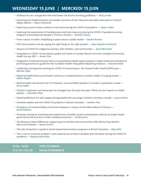- Evidence for sex- and gender-informed lower-risk alcohol drinking guidelines *Nancy Poole*
- Examining the implementation and health outcomes of zero-fee post-secondary education in Drayton Valley, Alberta — *Alexa Ferdinands*
- Exploring concerns about violence in the home during the COVID-19 pandemic *Dawn-Li Blair*
- Exploring the experiences of homelessness and food insecurity during the COVID-19 pandemic among pregnant and postpartum people in Toronto, Ontario — *Barbara Chyzzy*
- From rumour to holler: Amplifying trusted voices in public health *Sandra Romain*
- HPV immunization: Are we saying the right things to the right people? *Riley Urquhart-Ducharme*
- Impacts of COVID-19: Indigenous women, their families, and communities *Tyara Marchand*
- Inequalities in COVID-19 vaccination uptake and intent in Canada: Results from the Canadian Community Health Survey 2021 — *Ruoke Chen*
- Integration of intersectionality theory in quantitative health equity analysis: A rapid review and checklist of promising practices to guide the Pan-Canadian Health Inequalities Reporting Initiative — *Alexandra Blair*
- Leadership training and coaching for COVID-19 immunization: The Ottawa Public Health (OPH) case *Marcela Tapia*
- Maternal health literacy and health numeracy conceptualizations in public health: A scoping review *Dahlia Khajeei*
- Mental health interventions for First Nations, Inuit and Métis peoples in Canada: A systematic review *Krista Stelkia*
- Ontario's substance use landscape has changed over the past two years: What are the impacts on health equity? — *Alexander Wray*
- Opioid preference for safe supply among people who use drugs in British Columbia, Canada *Jessica Xavier*
- Overdose deaths and the COVID-19 pandemic in British Columbia *Heather Palis*
- Prevalence of multimorbidity and chronic diseases in citizens of the Métis Nation of Ontario *Sarah Edwards*
- Promises and perils: Examining the experiences of health system centralization reforms on public health governance and practice in three Canadian provinces — *Tamika Jarvis*
- The Beauty in Brain Difference: Supporting Inuit families and communities affected by Fetal Alcohol Spectrum Disorder — *Reyna Uriarte*
- The role of teachers in grade 6 school-based immunization programs in British Columbia *Maya Bird*
- This is not an American problem: Lived experiences of Asian-Canadian discrimination during the COVID-19 pandemic — *Stephana Julia Moss*

**14:10 – 14:20 STRETCH BREAK 14 h 10 à 14 h 20 PAUSE-ÉTIREMENTS**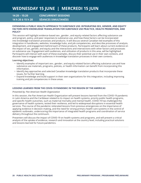**14:20 – 15:20 CONCURRENT SESSIONS 14 h 20 à 15 h 20 SÉANCES SIMULTANÉES**

#### **EXPANDING A PUBLIC HEALTH APPROACH TO SUBSTANCE USE: INTEGRATING SEX, GENDER, AND EQUITY FACTORS INTO KNOWLEDGE TRANSLATION FOR SUBSTANCE USE PRACTICE, HEALTH PROMOTION, AND POLICY**

This session will highlight evidence-based sex-, gender-, and equity-related factors affecting substance use and program, policy, and peer responses to substance use, and how these factors can be incorporated into knowledge translation processes and products. It will discuss several Canadian-led examples of this integration in handbooks, websites, knowledge hubs, and job competencies, and describe processes of analysis, development, and engagement behind each of these products. Participants will learn about current evidence on the impact of sex, gender, and equity and the interactions and intersections with other factors and processes on substance use. Engagement with audiences, and utilization of products in this area, will be highlighted. Participants will interact with each of these examples, discuss their potential use in their own contexts, and discover how to engage with audiences in knowledge translation processes in their own contexts.

#### **Learning objectives:**

- Identify examples of important sex-, gender-, and equity-related factors affecting substance use and how substance use materials, programs, policies, or health information can benefit from incorporating this information.
- Identify key approaches and selected Canadian knowledge translation products that incorporate these issues, for further learning.
- Expand knowledge and build support in their own organizations for this integration, including improving training and job competencies in these areas.

#### **LESSONS LEARNED FROM THE COVID-19 PANDEMIC IN THE REGION OF THE AMERICAS**

#### *Presented by: Pan American Health Organization*

In this session, the Pan American Health Organization will present lessons learned from the COVID-19 pandemic in Latin America and the Caribbean related to its impact on health systems, priority public health programs, and specific health outcomes, such as maternal mortality and mental health. COVID-19 has challenged the governance of health systems, tested their resilience, and led to widespread disruptions in essential health services. The course of the pandemic reiterated lessons from previous emergencies on the importance of applying evidence in decision-making, and the need for strong primary health care systems in the control of epidemic outbreaks, underscoring the importance of integrated health programs and coordination of service delivery throughout the continuum.

Presenters will discuss the impact of COVID-19 on health systems and programs, and will present a critical analysis of the uptake of evidence, research and innovation at the country level, including practical solutions and lessons learned for future pandemics.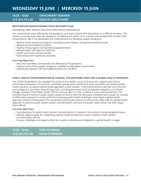**14:20 – 15:20 CONCURRENT SESSIONS 14 h 20 à 15 h 20 SÉANCES SIMULTANÉES**

#### **MÉTIS NATION SASKATCHEWAN COVID RECOVERY PLAN**

*Presented by: Métis National Council and Métis Nation Saskatchewan*

Our communities were affected by the pandemic, and many citizens find themselves in a difficult situation. The impact continues even after the pandemic. To address the needs of our citizens and to help them recover from the pandemic, MN-S has developed and implemented the following support programs:

- Medical travel assistance program (including cancer, dialysis, and general medical travel)
- Medical accommodation program
- Healthy food program during medical appointments
- Mental health and addiction help line
- Health promotion and prevention
- Partnership with healthcare providers

#### **Learning objectives:**

- Describe how Métis communities are affected by the pandemic.
- Explore some of the support programs available to help Métis communities.
- Identify key elements for the implementation for the MS-S.

#### **PUBLIC HEALTH TRANSFORMATION IN CANADA: THE INEVITABLE NEED FOR A GLOBAL HEALTH APPROACH**

The COVID-19 pandemic has revealed the cracks in our health, social, and economic systems and further exacerbated inequities. As countries, including Canada, seek to build back more equitable and resilient public health systems, an explicit global health approach is also needed – informed by lessons learned from this and past pandemics, and other intersecting crises, including persistent racial and gender inequities and climate change. Canada's Chief Public Health Officer's annual report in 2021 outlined a vision and key elements for transforming the country's public health system to ensure that the necessary conditions are in place for Canada to effectively respond to current and future pressing public health challenges. How might a global health approach enhance these plans? This symposium will provide a forum to discuss the value-add of a global health approach to planned public health system transformation, and how the public health sector can best shape these efforts.

- Describe plans for public health system transformation in Canada in the context of pressing global issues.
- Identify opportunities for integrating a global health perspective as part of public health system transformation efforts.
- Discuss challenges and opportunities for Canada to develop and implement a global health strategy.

| 15:20 – 15:30     | <b>STRETCH BREAK</b>   |
|-------------------|------------------------|
| 15 h 20 à 15 h 30 | <b>PAUSE-ÉTIREMENT</b> |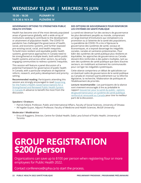**15:30 – 16:30 PLENARY IV 15 h 30 à 16 h 30 PLÉNIÈRE IV**

#### **GOVERNANCE OPTIONS TO STRENGTHEN PUBLIC HEALTH SYSTEMS**

Health has become one of the most densely populated areas of governance globally, with a wide array of institutions seeking to contribute to the development or attainment of population health. The COVID-19 pandemic has challenged the governance of health, social, and economic systems, and further exposed pre-existing social, racial, and health inequities. To build more resilient and equitable public health systems, governance approaches in Canada need to be strengthened at multiple levels, both within public health systems and across other sectors, by actively engaging communities to redress systemic inequities.

This session will feature a panel discussion of a potential framework for governance of public health in Canada, with a particular emphasis on legislative reform, research, and policy development and priority setting.

**Recommended reading:** Participants attending this session are strongly encouraged to read [Governing](https://nccph.ca/projects/reports-to-accompany-the-chief-public-health-officer-of-canadas-report-2021/governing-for-the-publics-health-governance-options-for-a-strengthened)  [for the Public's Health: Governance Options for a](https://nccph.ca/projects/reports-to-accompany-the-chief-public-health-officer-of-canadas-report-2021/governing-for-the-publics-health-governance-options-for-a-strengthened)  [Strengthened and Renewed Public Health System](https://nccph.ca/projects/reports-to-accompany-the-chief-public-health-officer-of-canadas-report-2021/governing-for-the-publics-health-governance-options-for-a-strengthened)  [in Canada](https://nccph.ca/projects/reports-to-accompany-the-chief-public-health-officer-of-canadas-report-2021/governing-for-the-publics-health-governance-options-for-a-strengthened) in advance to benefit the most from the discussion.

#### **DES OPTIONS DE GOUVERNANCE POUR RENFORCER LES SYSTÈMES DE SANTÉ PUBLIQUE**

La santé est devenue l'un des secteurs de gouvernance les plus densément peuplés au monde, comprenant un large éventail d'institutions qui s'emploient à la promotion ou à l'atteinte de la santé des populations. La pandémie de COVID-19 a mis à l'épreuve la gouvernance des systèmes de santé, sociaux et économiques, et a exposé davantage les inégalités sociales, raciales et sanitaires préexistantes. Pour bâtir des systèmes de santé publique plus résilients et équitables, les approches de gouvernance au Canada doivent être renforcées à des paliers multiples, tant au sein des systèmes de santé publique que dans d'autres secteurs, en mobilisant activement les communautés pour corriger les inégalités systémiques.

Cette séance comportera un débat de spécialistes sur un éventuel cadre de gouvernance de la santé publique au Canada en insistant particulièrement sur la réforme législative, la recherche, l'élaboration de politiques et l'établissement de priorités.

**Lecture recommandée :** Les participants de la séance sont vivement encouragés à lire au préalable le rapport [Gouverner pour la santé du public : options](https://ccnsp.ca/projects/reports-to-accompany-the-chief-public-health-officer-of-canadas-report-2021/governing-for-the-publics-health-governance-options-for-a-strengthened/)  de gouvernance pour un système de santé publique [renforcé et renouvelé au Canada](https://ccnsp.ca/projects/reports-to-accompany-the-chief-public-health-officer-of-canadas-report-2021/governing-for-the-publics-health-governance-options-for-a-strengthened/) pour tirer le meilleur parti de la discussion.

#### **Speakers I Orateurs**

- Patrick Fafard, Professor, Public and International Affairs, Faculty of Social Sciences, University of Ottawa
- Ak'ingabe Guyon, Adjunct Professor, Faculty of Medicine and Health Sciences, McGill University

#### **Moderator I Modératrice**

• Erica di Ruggiero, Director, Centre for Global Health, Dalla Lana School of Public Health, University of Toronto

# **[GROUP REGISTRATION](mailto:conference%40cpha.ca?subject=Public%20Health%202022%20--%20Group%20Registration) \$200/person**

Organizations can save up to \$100 per person when registering four or more employees for Public Health 2022.

Contact [conference@cpha.ca](mailto:conference@cpha.ca) to start the process.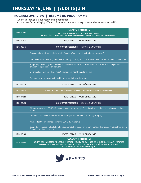## **PROGRAM OVERVIEW | RÉSUMÉ DU PROGRAMME**

- Subject to change | Sous réserve de modifications
- All times are Eastern Daylight Time | Toutes les heures sont exprimées en heure avancée de l'Est

| 11:00-12:05 | PLENARY V   PLÉNIÈRE V<br><b>HEALTH OF CANADIANS IN A CHANGING CLIMATE</b><br>LA SANTÉ DES CANADIENS ET DES CANADIENNES DANS UN CLIMAT EN CHANGEMENT                                                                                          |
|-------------|-----------------------------------------------------------------------------------------------------------------------------------------------------------------------------------------------------------------------------------------------|
| 12:05-12:15 | STRETCH BREAK   PAUSE-ÉTIREMENTS                                                                                                                                                                                                              |
| 12:15-13:15 | CONCURRENT SESSIONS   SÉANCES SIMULTANÉES                                                                                                                                                                                                     |
|             | Conceptualizing digital public health in Canada: What are the implications for practice?                                                                                                                                                      |
|             | Introduction to Party n Play/Chemsex: Providing culturally and clinically competent care to GBMSM communities                                                                                                                                 |
|             | Supporting the deployment of Health in All Policies in Canada: Implementation prospects, training review,<br>creation of a pan-Canadian network                                                                                               |
|             | Visioning lessons learned into First Nations public health transformation                                                                                                                                                                     |
|             | Responding to the next public health threat: Antimicrobial resistance                                                                                                                                                                         |
| 13:15-13:25 | STRETCH BREAK   PAUSE-ÉTIREMENTS                                                                                                                                                                                                              |
| 13:25-14:10 | BRIEF ORAL ABSTRACT PRESENTATIONS   BRÈVES PRÉSENTATIONS ORALES                                                                                                                                                                               |
| 14:10-14:20 | STRETCH BREAK   PAUSE-ÉTIREMENTS                                                                                                                                                                                                              |
| 14:20-15:20 | CONCURRENT SESSIONS   SÉANCES SIMULTANÉES                                                                                                                                                                                                     |
|             | Alcohol, cancer, and COVID-19: How the pandemic weakened Canadian alcohol policies and what can be done<br>about it                                                                                                                           |
|             | Disconnect in a hyperconnected world: Strategies and partnerships for digital equity                                                                                                                                                          |
|             | Mental Health Surveillance during the COVID-19 Pandemic                                                                                                                                                                                       |
|             | Supporting intersectoral collaboration to promote health equity in immigrants and refugees: Findings from a pan-<br>Canadian needs assessment                                                                                                 |
| 15:20-15:30 | STRETCH BREAK   PAUSE-ÉTIREMENTS                                                                                                                                                                                                              |
| 15:30-16:30 | PLENARY VI   PLÉNIÈRE VI<br>BENITA COHEN MEMORIAL LECTURE: HEALTH, EQUITY, SOCIAL JUSTICE, AND PUBLIC HEALTH PRACTICE<br>CONFÉRENCE À LA MÉMOIRE DE BENITA COHEN : LA SANTÉ, L'ÉQUITÉ, LA JUSTICE SOCIALE<br>ET LA PRATIQUE EN SANTÉ PUBLIQUE |

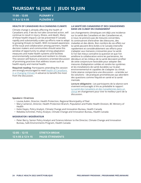**11:00 – 12:05 PLENARY V 11 h à 12 h 05 PLÉNIÈRE V**

#### **HEALTH OF CANADIANS IN A CHANGING CLIMATE**

Climate change is already affecting the health of Canadians and, if we do not take concerted action, will continue to result in injury, illness, and death. Many of these health impacts can be prevented if Canada rapidly and substantially scales up efforts now to adapt to growing threats to health. With increased awareness of the issue and collaboration among partners, health decision makers and communities should seize this window of opportunity to adopt strong adaptation measures and make health systems and facilities environmentally sustainable and resilient to climate. This session will feature a solutions-oriented discussion of promising practices that address issues such as health equity and mental health.

**Required reading:** Participants attending this session are strongly encouraged to read [Health of Canadians](https://changingclimate.ca/health-in-a-changing-climate/)  [in a Changing Climate](https://changingclimate.ca/health-in-a-changing-climate/) in advance to benefit the most from the discussion.

#### **LA SANTÉ DES CANADIENS ET DES CANADIENNES DANS UN CLIMAT EN CHANGEMENT**

Les changements climatiques ont déjà une incidence sur la santé des Canadiens et des Canadiennes et, si nous ne prenons pas de mesures concertées, ils continueront d'entraîner des blessures, des maladies et des décès. Bon nombre de ces effets sur la santé peuvent être évités si le Canada intensifie rapidement et considérablement ses efforts pour s'adapter aux menaces croissantes pour la santé. Si l'on fait mieux connaître la question et que l'on améliore la collaboration entre les partenaires, les décideurs et les milieux de la santé devraient profiter de cette conjoncture favorable pour adopter des mesures d'adaptation solides et rendre les systèmes et les installations de santé durables sur le plan environnemental et capables de s'adapter au climat. Cette séance comportera une discussion – orientée sur les solutions – de pratiques prometteuses qui abordent des questions comme l'équité en santé et la santé mentale.

**Lecture obligatoire :** Les participants de la séance sont vivement encouragés à lire au préalable le rapport La santé des Canadiens et des Canadiennes dans un [climat](https://changingclimate.ca/health-in-a-changing-climate/fr/) en changement pour tirer le meilleur parti de la discussion.

#### **Speakers I Oratrices**

- Louise Aubin, Director, Health Protection, Regional Municipality of Peel
- Mary Cameron, Director, Health Protection Branch, Population and Public Health Division, BC Ministry of Health
- Katie Hayes, Policy Analyst, Climate Change and Innovation Bureau, Health Canada
- Rebekka Schnitter, Policy Analyst, Climate Change and Innovation Bureau, Health Canada

#### **MODERATOR I MODÉRATEUR**

• Peter Berry, Senior Policy Analyst and Science Advisor to the Director, Climate Change and Innovation Bureau, Safe Environments Program, Health Canada

| $12:05 - 12:15$   | <b>STRETCH BREAK</b>    |
|-------------------|-------------------------|
| 12 h 05 à 12 h 15 | <b>PAUSE-ETIREMENTS</b> |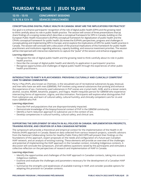**12:15 – 13:15 CONCURRENT SESSIONS 12 h 15 à 13 h 15 SÉANCES SIMULTANÉES**

#### **CONCEPTUALIZING DIGITAL PUBLIC HEALTH IN CANADA: WHAT ARE THE IMPLICATIONS FOR PRACTICE?**

Our goal is to enhance participants' recognition of the role of digital public health (DPH) and the growing need to think carefully about its role in public health practice. The session will consist of three presentations that (a) share findings of a scoping review which describes a conceptual framework for DPH in Canada, building on the European Public Health Association's (EUPHA) conceptual framework for digitalization of public health and the CPHA's conceptual framework for public health; (b) review the EUPHA's perspectives, progress and challenges in conceptualizing and implementing DPH in Europe; and (c) explore the implications of DPH for public health practice in Canada. The session will conclude with a discussion of the practical implications of this framework for public health practitioners and institutions regarding advocacy, capacity building, and resource investment priorities. The session will be interspersed with interactive statements to capture the "pulse" of the session and enhance engagement.

#### **Learning objectives:**

- Recognize the role of digital public health and the growing need to think carefully about its role in public health practice.
- Describe the concept of digital public health and identify its application in participants' practice.
- Recognize opportunities and challenges of digital public health through the experiences of other public health practitioners.

#### **INTRODUCTION TO PARTY N PLAY/CHEMSEX: PROVIDING CULTURALLY AND CLINICALLY COMPETENT CARE TO GBMSM COMMUNITIES**

Party n Play (PnP), also known as Chemsex, is the sexualized use of recreational substances by gay, bisexual, and men who have sex with men (GBMSM). PnP involves using several substances that prolong and enhance the experience of sex. Commonly used substances in PnP scenes are crystal meth, GHB, and to a lesser extent, alcohol, cocaine, MDMA, ketamine, poppers, and Viagra. Health inequities persist for GBMSM who experience intersecting forms of oppression, stigma, and discrimination. Participants will explore what distinguishes PnP from substance use, and learn of cultural safety, cultural humility, and clinically competent care for cis and trans-GBMSM who PnP.

#### **Learning objectives:**

- Describe PnP and populations that are disproportionately impacted.
- Demonstrate knowledge of the biopsychosocial context of PnP in the GBMSM community.
- Identify a harm reduction approach to substance use in the context of sex.
- Develop competencies in cultural humility, cultural safety, and clinical care.

#### **SUPPORTING THE DEPLOYMENT OF HEALTH IN ALL POLICIES IN CANADA: IMPLEMENTATION PROSPECTS, TRAINING REVIEW, AND CREATION OF A PAN-CANADIAN NETWORK**

The symposium will provide a theoretical and empirical context for the implementation of the Health in All Policies (HiAP) approach in Canada. Based on data collected from various research projects, scientific advisors from the National Collaborating Centre for Healthy Public Policy (NCCHPP) will present their findings on the foundations of this approach, expert proposals on the needs and configuration of a future pan-Canadian HiAP network, and an analysis of existing training. These elements will provide an overview of the challenges and potential of implementing the HiAP approach in the Canadian context, including Indigenous contexts. A discussion will conclude the symposium, and will address questions raised by the participants and stimulate a collective reflection on the perspectives of research and implementation of HiAP in Canada.

- Identify the opportunities and challenges of the HiAP approach in Canadian contexts, taking into account Indigenous realities.
- Examine and evaluate the challenges and parameters necessary for the development of a Canadian HiAP network.
- Summarize the strengths and weaknesses of available training in HiAP, and consider possible options for adapting this provision to Canadian contexts.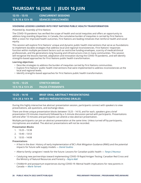## **12:15 – 13:15 CONCURRENT SESSIONS 12 h 15 à 13 h 15 SÉANCES SIMULTANÉES**

#### **VISIONING LESSONS LEARNED INTO FIRST NATIONS PUBLIC HEALTH TRANSFORMATION**

#### *Presented by: Assembly of First Nations*

The COVID-19 pandemic has verified the scope of health and social inequities and offers an opportunity to address long-standing disparities; in Canada, the cumulative burden of inequities is carried by First Nations. With a vision for improved health outcomes, First Nations are leading initiatives that reinforce health and social equity.

This session will explore First Nations' unique and dynamic public health interventions that serve as foundations to implement durable strategies that address local and regional inconsistencies. First Nations' responses function within multiple persistent factors such as restrictive funding envelopes, scarcity of medical/clinical professionals, and the generations-long housing and infrastructure crisis in many communities. This session will recognize the lessons learned, adaptation and innovation during the COVID-19 pandemic, and will identify strengths-based approaches for First Nations public health transformation.

#### **Learning objectives:**

- Describe strategies to address the burden of inequities carried by First Nations communities.
- Explore First Nations' public health interventions that were implemented to address inconsistencies at the local and regional levels.
- Identify strengths-based approaches for First Nations public health transformation.

| 13:15 – 13:25     | <b>STRETCH BREAK</b>    |
|-------------------|-------------------------|
| 13 h 15 à 13 h 25 | <b>PAUSE-ETIREMENTS</b> |

## **13:25 – 14:10 BRIEF ORAL ABSTRACT PRESENTATIONS 13 h 25 à 14 h 10 BRÈVES PRÉSENTATIONS ORALES**

During this highly interactive live abstract presentation session, participants connect with speakers to view presentations, ask questions, and exchange ideas.

There are three unique presentation blocks between 13:25 – 14:10, and for each, speakers give a brief presentation (10 minutes maximum) followed by a 3-minute discussion period with participants. Presentations will end after 13 minutes and participants can attend a new abstract presentation.

Multiple participants can join an abstract presentation at the same time. Unless turned off by participants, microphones are enabled. The abstract presentations will not be recorded.

#### **Presentation Blocks**

- 1. 13:25 13:38
- 2. 13:40 13:53
- 3. 13:55 14:08

#### **Presentations**

- A foot in the door: History of early implementation of BC's Risk Mitigation Guidance (RMG) and the potential impacts for future safe supply models — *Daniel Gudino*
- Alberta family caregivers' needs for the future: Lessons for Canadian public health *Tanya L'Heureux*
- Catalyzing new partnerships toward implementing COVID-19 Rapid Antigen Testing: Canadian Red Cross and the Ministry of Natural Resources and Forestry – *Neyra Adel*
- Childbirth and postpartum experiences during COVID-19: Mental health implications for new parents in Canada — *Marie Tarrant*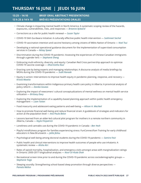## **13:25 – 14:10 BRIEF ORAL ABSTRACT PRESENTATIONS 13 h 25 à 14 h 10 BRÈVES PRÉSENTATIONS ORALES**

- Climate change is impacting mental health in North America: A systematic scoping review of the hazards, exposures, vulnerabilities, risks, and responses — *Breanne Aylward*
- Corrections as a site for public health renewal *Susan Taylor*
- COVID-19 Sikh Gurdwara Initiative: A culturally effective public health intervention *Sukhmeet Sachal*
- COVID-19 vaccination intention and vaccine hesitancy among citizens of Métis Nation of Ontario *Noel Tsui*
- Developing a national operational guidance document for the implementation of supervised consumption services in Canada — *Kelsey Speed*
- Discrimination during the COVID-19 pandemic: Assessing the experiences of Chinese Canadian immigrants through a gender lens — *Stephanie Sheng*
- Embracing multi-ethnicity, diversity, and equity: Canadian Red Cross partnership approach to optimize COVID-19 vaccine coverage — *Dharmistha Kaul*
- Enacting care by being experts and managing relationships: A discourse analysis of media briefings by MOHs during the COVID-19 pandemic — *Sudit Ranade*
- Equity in action: Interventions to improve health equity in pandemic planning, response, and recovery *Kristia Maatta*
- Examining transformations within Indigenous primary health care policy in Alberta: A provincial analysis of policy reform — *Danika Goveas*
- Exploring the impact of newcomers' cultural conceptualizations of mental wellness on mental health service utilization — *Brittany Davy*
- Exploring the implementation of a capability-based planning approach within public health emergency management — *Liam Totten*
- Food insecurity and adolescent eating patterns and well-being *Allison H. MacNeil*
- How to promote financial well-being and reduce financial strain: A guidebook of strategies and indicators for action at the population level — *Ana Paula Belon*
- Lessons learned from an elder-led cultural pilot program for mothers in a remote northern community in Alberta, Canada — *Kayla Fitzpatrick*
- Loneliness and cannabis use during the COVID-19 pandemic in Canada *Ben Yeoh*
- Playful mindfulness program for families experiencing stress: FunConnectFam Training for early childhood educators in New Brunswick — *Jalila Jbilou*
- Psychological well-being among doctoral students during the COVID-19 pandemic *Samira Feizi*
- Public health and clinical interventions to improve health outcomes of people who use inhalants: A systematic review — *Alisha Atri*
- Rates of opioid mortality, hospitalization, and emergency visits amongst areas with marginalization ratings in Ontario: 2000-2017 longitudinal analyses — *Noor-Ul-Huda Shah*
- Recreational screen time prior to and during the COVID-19 pandemic across sociodemographic groups *Stephanie Toigo*
- Sleeping soundly: Strengthening school-based sleep promotion through diverse perspectives *Pamela Mellon*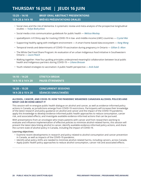## **13:25 – 14:10 BRIEF ORAL ABSTRACT PRESENTATIONS 13 h 25 à 14 h 10 BRÈVES PRÉSENTATIONS ORALES**

- Social class and the risk of dementia: A systematic review and meta-analysis of the prospective longitudinal studies — *Yuliya Bodryzlova*
- Social media crisis communication guidebook for public health *Melissa Mackay*
- spatialEpisim: A R Shiny app for tracking COVID-19 in low- and middle-income (LMIC) countries *Crystal Wai*
- Supporting healthy aging with intelligent environment A smart-home-based data ecosystem *Kang Wang*
- Temporal trends and determinants of COVID-19 vaccination during pregnancy in Ontario *Gillian D. Alton*
- The White Owl Food Share Program: An evaluation of an urban Indigenous food initiative in Southwestern Ontario — *Laura Peach*
- Walking together: How four guiding principles underpinned meaningful collaboration between local public health and Indigenous partners during COVID-19 — *Liliana Bressan*
- Youth-related strategies to vaccination: A public health perspective *Anik Dubé*

| 14:10 – 14:20     | <b>STRETCH BREAK</b>       |
|-------------------|----------------------------|
| 14 h 10 à 14 h 20 | <b>PAUSE-ÉTIREMENTS</b>    |
| $14:20 - 15:20$   | <b>CONCURRENT SESSIONS</b> |
| 14 h 20 à 15 h 20 | <b>SÉANCES SIMULTANÉES</b> |

#### **ALCOHOL, CANCER, AND COVID-19: HOW THE PANDEMIC WEAKENED CANADIAN ALCOHOL POLICIES AND WHAT CAN BE DONE ABOUT IT**

This session will re-energize public health dialogue on alcohol and cancer, as well as evidence-informed policy actions in Canada, as jurisdictions emerge from COVID-19 restrictions. Participants will increase their knowledge of the latest research and policy guidance on alcohol and cancer and the impact of the COVID-19 pandemic; apply this knowledge to develop evidence-informed public health approaches to reduce consumption, cancer risk, and associated effects; and investigate available evidence-informed actions that can be pursued.

With presentations from an oncologist who treats patients with cancer and from researchers working to evaluate and influence implementation of effective policies to minimize alcohol-related harms, this session will present the latest data linking alcohol to cancer, identify available evidence-informed policy actions, and share the current state of alcohol policy in Canada, including the impact of COVID-19.

- Examine recent developments in research and policy related to alcohol consumption and cancer prevention in Canada, as well as impacts of the COVID-19 pandemic.
- Identify what policy shifts are needed to minimize alcohol-related harms, including cancers, across Canada.
- Apply public health policy approaches to reduce alcohol consumption, cancer risk and associated effects.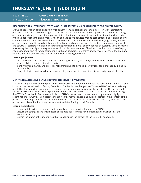**14:20 – 15:20 CONCURRENT SESSIONS 14 h 20 à 15 h 20 SÉANCES SIMULTANÉES**

#### **DISCONNECT IN A HYPERCONNECTED WORLD: STRATEGIES AND PARTNERSHIPS FOR DIGITAL EQUITY**

Everyone deserves an equal opportunity to benefit from digital health technologies. However, intersecting personal, contextual, and technological factors determine their uptake and use, preventing some from having an equal opportunity to benefit. A rapid and finite situational assessment explored considerations for equityinformed approaches to digital mental health and addictions services around core dimensions of digital equity. Communities living with inequities due to socioeconomic status and structural exclusion (e.g,, racism) are less able to use and benefit from digital mental health and addictions services. Eliminating historical, institutional, and structural barriers to digital health technology must be a policy priority for health systems. Decision makers must recognize how digital equity intersects with social determinants of health and embed principles of equity into policy and planning for digital mental health and addictions programs and services, to ensure the dramatic increase in digital services does not further entrench the digital divide.

#### **Learning objectives:**

- Describe how access, affordability, digital literacy, relevance, and safety/security intersect with social and structural determinants of health equity.
- Identify key community and professional partnerships to develop interventions for digital equity in health service policy.
- Apply strategies to address barriers and identify opportunities to achieve digital equity in public health.

### **MENTAL HEALTH SURVEILLANCE DURING THE COVID-19 PANDEMIC**

The COVID-19 pandemic and the public health measures implemented to reduce the spread of SARS-CoV-2 have impacted the mental health of many Canadians. The Public Health Agency of Canada (PHAC) added to existing mental health surveillance programs to respond to information needs during the pandemic. This session will include descriptions of surveillance programs and products related to the mental health of Canadians during the COVID-19 pandemic. Presenters will discuss PHAC's mental health surveillance programs and highlight recent national survey data on positive mental health, mental illness, and suicidal ideation in the context of the pandemic. Challenges and successes of mental health surveillance initiatives will be discussed, along with new products for dissemination of key mental-health-related findings to all Canadians.

- Locate and describe the mental health surveillance programs implemented by PHAC.
- Discuss the strengths and weaknesses of the data sources used for mental health surveillance at the national level.
- Explain the status of the mental health of Canadians in the context of the COVID-19 pandemic.